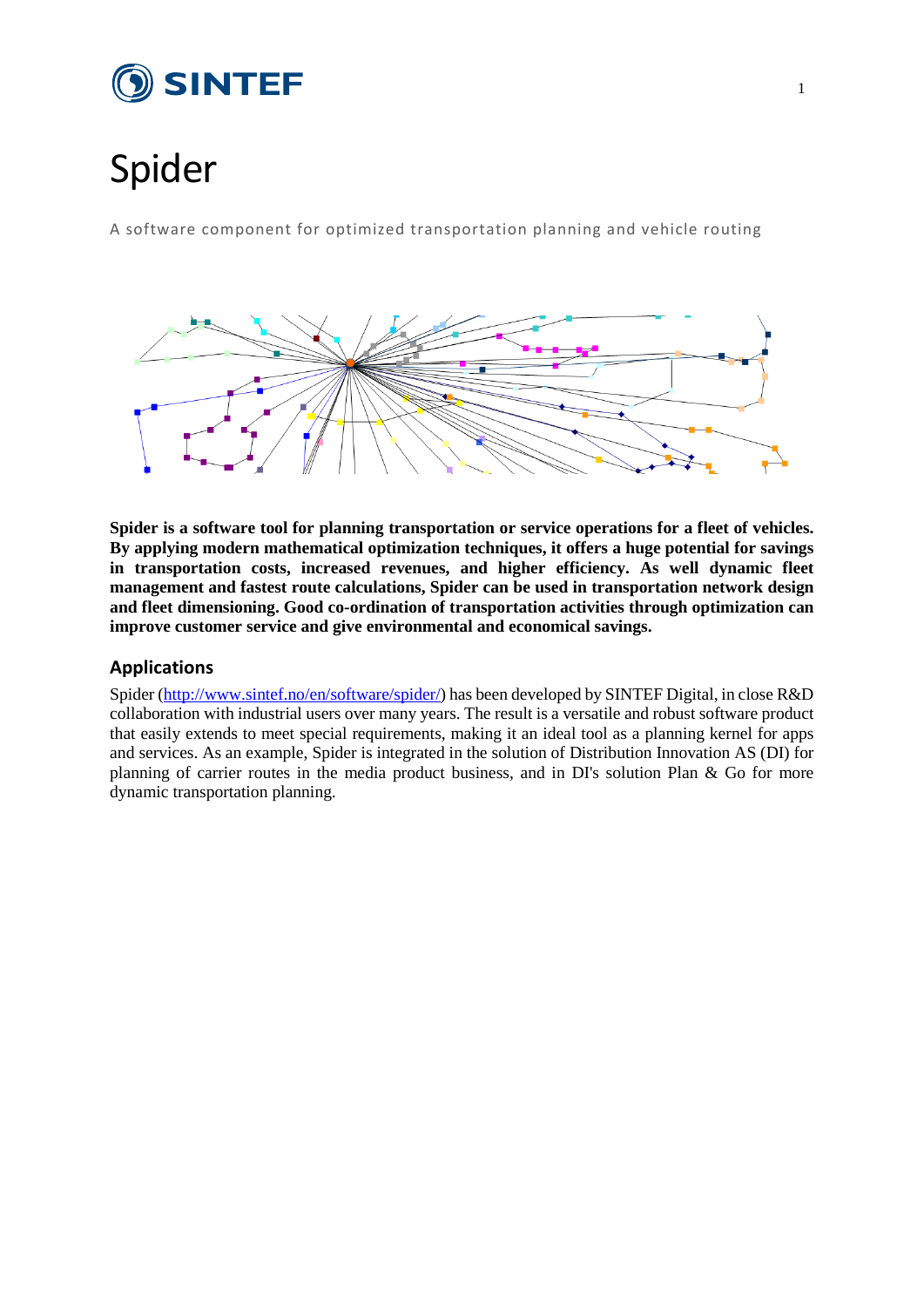

# Spider

A software component for optimized transportation planning and vehicle routing



**Spider is a software tool for planning transportation or service operations for a fleet of vehicles. By applying modern mathematical optimization techniques, it offers a huge potential for savings in transportation costs, increased revenues, and higher efficiency. As well dynamic fleet management and fastest route calculations, Spider can be used in transportation network design and fleet dimensioning. Good co-ordination of transportation activities through optimization can improve customer service and give environmental and economical savings.**

## **Applications**

Spider [\(http://www.sintef.no/en/software/spider/\)](http://www.sintef.no/en/software/spider/) has been developed by SINTEF Digital, in close R&D collaboration with industrial users over many years. The result is a versatile and robust software product that easily extends to meet special requirements, making it an ideal tool as a planning kernel for apps and services. As an example, Spider is integrated in the solution of Distribution Innovation AS (DI) for planning of carrier routes in the media product business, and in DI's solution Plan & Go for more dynamic transportation planning.